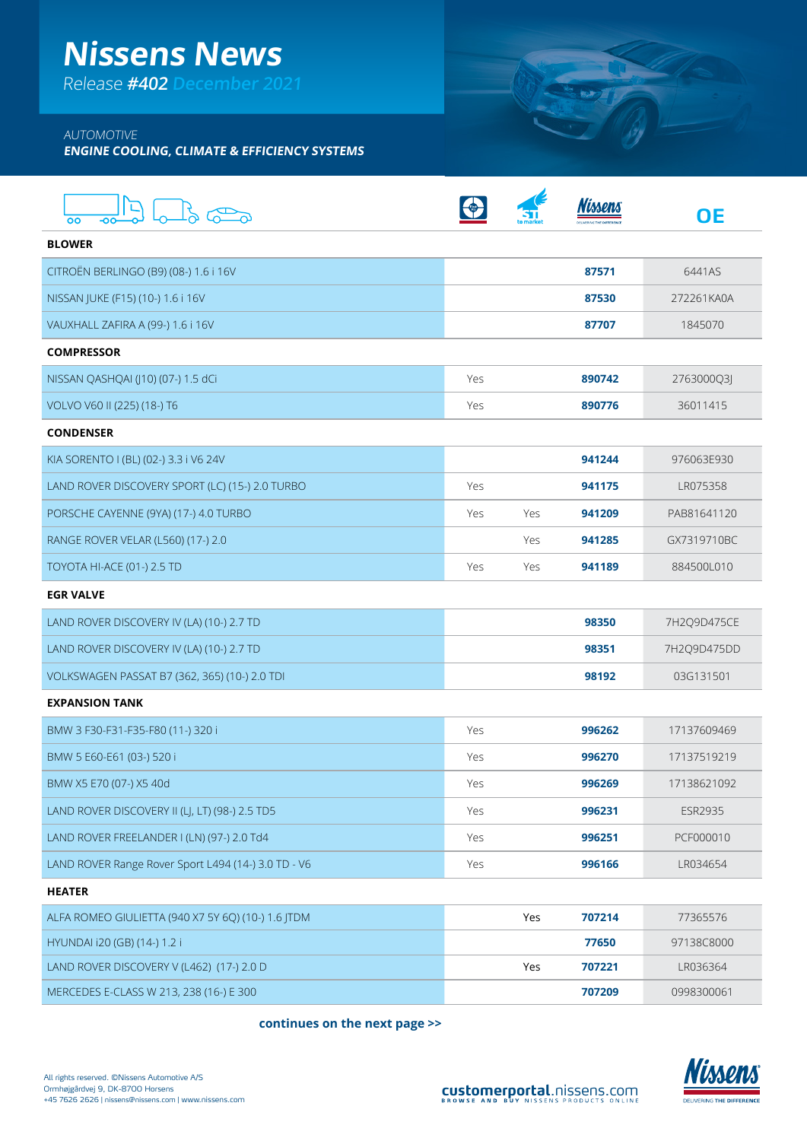## **Nissens News**

Release **#402 December 2021**

## AUTOMOTIVE

**ENGINE COOLING, CLIMATE & EFFICIENCY SYSTEMS**

| OO                                                  |     |     |        | <b>OE</b>      |
|-----------------------------------------------------|-----|-----|--------|----------------|
| <b>BLOWER</b>                                       |     |     |        |                |
| CITROËN BERLINGO (B9) (08-) 1.6 i 16V               |     |     | 87571  | 6441AS         |
| NISSAN JUKE (F15) (10-) 1.6 i 16V                   |     |     | 87530  | 272261KA0A     |
| VAUXHALL ZAFIRA A (99-) 1.6 i 16V                   |     |     | 87707  | 1845070        |
| <b>COMPRESSOR</b>                                   |     |     |        |                |
| NISSAN QASHQAI (J10) (07-) 1.5 dCi                  | Yes |     | 890742 | 2763000Q3J     |
| VOLVO V60 II (225) (18-) T6                         | Yes |     | 890776 | 36011415       |
| <b>CONDENSER</b>                                    |     |     |        |                |
| KIA SORENTO I (BL) (02-) 3.3 i V6 24V               |     |     | 941244 | 976063E930     |
| LAND ROVER DISCOVERY SPORT (LC) (15-) 2.0 TURBO     | Yes |     | 941175 | LR075358       |
| PORSCHE CAYENNE (9YA) (17-) 4.0 TURBO               | Yes | Yes | 941209 | PAB81641120    |
| RANGE ROVER VELAR (L560) (17-) 2.0                  |     | Yes | 941285 | GX7319710BC    |
| TOYOTA HI-ACE (01-) 2.5 TD                          | Yes | Yes | 941189 | 884500L010     |
| <b>EGR VALVE</b>                                    |     |     |        |                |
| LAND ROVER DISCOVERY IV (LA) (10-) 2.7 TD           |     |     | 98350  | 7H2Q9D475CE    |
| LAND ROVER DISCOVERY IV (LA) (10-) 2.7 TD           |     |     | 98351  | 7H2Q9D475DD    |
| VOLKSWAGEN PASSAT B7 (362, 365) (10-) 2.0 TDI       |     |     | 98192  | 03G131501      |
| <b>EXPANSION TANK</b>                               |     |     |        |                |
| BMW 3 F30-F31-F35-F80 (11-) 320 i                   | Yes |     | 996262 | 17137609469    |
| BMW 5 E60-E61 (03-) 520 i                           | Yes |     | 996270 | 17137519219    |
| BMW X5 E70 (07-) X5 40d                             | Yes |     | 996269 | 17138621092    |
| LAND ROVER DISCOVERY II (LJ, LT) (98-) 2.5 TD5      | Yes |     | 996231 | <b>ESR2935</b> |
| LAND ROVER FREELANDER I (LN) (97-) 2.0 Td4          | Yes |     | 996251 | PCF000010      |
| LAND ROVER Range Rover Sport L494 (14-) 3.0 TD - V6 | Yes |     | 996166 | LR034654       |
| <b>HEATER</b>                                       |     |     |        |                |
| ALFA ROMEO GIULIETTA (940 X7 5Y 6Q) (10-) 1.6 JTDM  |     | Yes | 707214 | 77365576       |
| HYUNDAI i20 (GB) (14-) 1.2 i                        |     |     | 77650  | 97138C8000     |
| LAND ROVER DISCOVERY V (L462) (17-) 2.0 D           |     | Yes | 707221 | LR036364       |
| MERCEDES E-CLASS W 213, 238 (16-) E 300             |     |     | 707209 | 0998300061     |

**continues on the next page >>**



SUIT